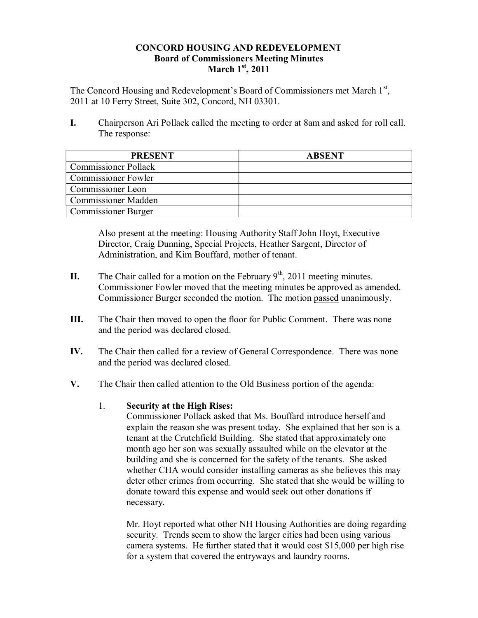## **CONCORD HOUSING AND REDEVELOPMENT Board of Commissioners Meeting Minutes March 1st, 2011**

The Concord Housing and Redevelopment's Board of Commissioners met March 1<sup>st</sup>, 2011 at 10 Ferry Street, Suite 302, Concord, NH 03301.

**I.** Chairperson Ari Pollack called the meeting to order at 8am and asked for roll call. The response:

| <b>PRESENT</b>              | <b>ABSENT</b> |
|-----------------------------|---------------|
| <b>Commissioner Pollack</b> |               |
| <b>Commissioner Fowler</b>  |               |
| Commissioner Leon           |               |
| <b>Commissioner Madden</b>  |               |
| <b>Commissioner Burger</b>  |               |

Also present at the meeting: Housing Authority Staff John Hoyt, Executive Director, Craig Dunning, Special Projects, Heather Sargent, Director of Administration, and Kim Bouffard, mother of tenant.

- **II.** The Chair called for a motion on the February  $9<sup>th</sup>$ , 2011 meeting minutes. Commissioner Fowler moved that the meeting minutes be approved as amended. Commissioner Burger seconded the motion. The motion passed unanimously.
- **III.** The Chair then moved to open the floor for Public Comment. There was none and the period was declared closed.
- **IV.** The Chair then called for a review of General Correspondence. There was none and the period was declared closed.
- **V.** The Chair then called attention to the Old Business portion of the agenda:

# 1. **Security at the High Rises:**

Commissioner Pollack asked that Ms. Bouffard introduce herself and explain the reason she was present today. She explained that her son is a tenant at the Crutchfield Building. She stated that approximately one month ago her son was sexually assaulted while on the elevator at the building and she is concerned for the safety of the tenants. She asked whether CHA would consider installing cameras as she believes this may deter other crimes from occurring. She stated that she would be willing to donate toward this expense and would seek out other donations if necessary.

Mr. Hoyt reported what other NH Housing Authorities are doing regarding security. Trends seem to show the larger cities had been using various camera systems. He further stated that it would cost \$15,000 per high rise for a system that covered the entryways and laundry rooms.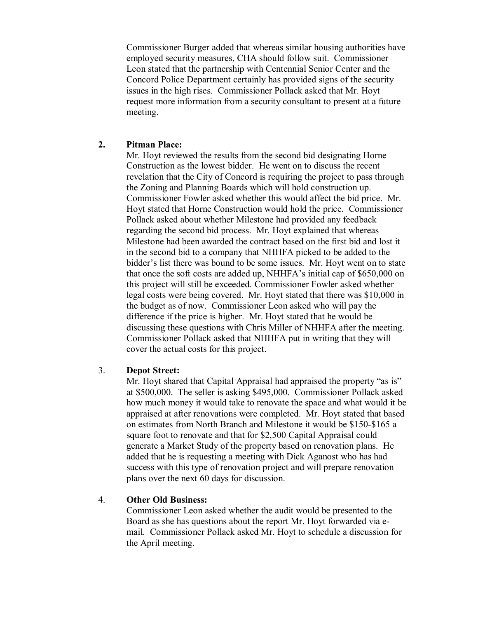Commissioner Burger added that whereas similar housing authorities have employed security measures, CHA should follow suit. Commissioner Leon stated that the partnership with Centennial Senior Center and the Concord Police Department certainly has provided signs of the security issues in the high rises. Commissioner Pollack asked that Mr. Hoyt request more information from a security consultant to present at a future meeting.

## **2. Pitman Place:**

Mr. Hoyt reviewed the results from the second bid designating Horne Construction as the lowest bidder. He went on to discuss the recent revelation that the City of Concord is requiring the project to pass through the Zoning and Planning Boards which will hold construction up. Commissioner Fowler asked whether this would affect the bid price. Mr. Hoyt stated that Horne Construction would hold the price. Commissioner Pollack asked about whether Milestone had provided any feedback regarding the second bid process. Mr. Hoyt explained that whereas Milestone had been awarded the contract based on the first bid and lost it in the second bid to a company that NHHFA picked to be added to the bidder's list there was bound to be some issues. Mr. Hoyt went on to state that once the soft costs are added up, NHHFA's initial cap of \$650,000 on this project will still be exceeded. Commissioner Fowler asked whether legal costs were being covered. Mr. Hoyt stated that there was \$10,000 in the budget as of now. Commissioner Leon asked who will pay the difference if the price is higher. Mr. Hoyt stated that he would be discussing these questions with Chris Miller of NHHFA after the meeting. Commissioner Pollack asked that NHHFA put in writing that they will cover the actual costs for this project.

# 3. **Depot Street:**

Mr. Hoyt shared that Capital Appraisal had appraised the property "as is" at \$500,000. The seller is asking \$495,000. Commissioner Pollack asked how much money it would take to renovate the space and what would it be appraised at after renovations were completed. Mr. Hoyt stated that based on estimates from North Branch and Milestone it would be \$150-\$165 a square foot to renovate and that for \$2,500 Capital Appraisal could generate a Market Study of the property based on renovation plans. He added that he is requesting a meeting with Dick Aganost who has had success with this type of renovation project and will prepare renovation plans over the next 60 days for discussion.

# 4. **Other Old Business:**

Commissioner Leon asked whether the audit would be presented to the Board as she has questions about the report Mr. Hoyt forwarded via email. Commissioner Pollack asked Mr. Hoyt to schedule a discussion for the April meeting.